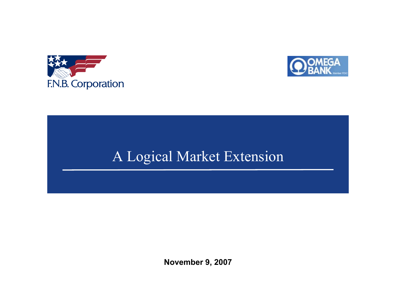



# A Logical Market Extension

**November 9, 2007**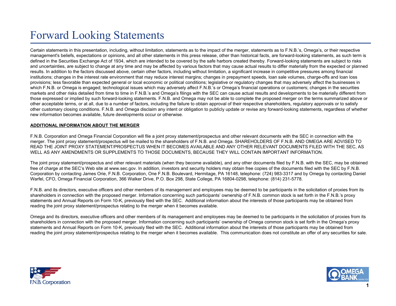## Forward Looking Statements

Certain statements in this presentation, including, without limitation, statements as to the impact of the merger, statements as to F.N.B.'s, Omega's, or their respective management's beliefs, expectations or opinions, and all other statements in this press release, other than historical facts, are forward-looking statements, as such term is defined in the Securities Exchange Act of 1934, which are intended to be covered by the safe harbors created thereby. Forward-looking statements are subject to risks and uncertainties, are subject to change at any time and may be affected by various factors that may cause actual results to differ materially from the expected or planned results. In addition to the factors discussed above, certain other factors, including without limitation, a significant increase in competitive pressures among financial institutions; changes in the interest rate environment that may reduce interest margins; changes in prepayment speeds, loan sale volumes, charge-offs and loan loss provisions; less favorable than expected general or local economic or political conditions; legislative or regulatory changes that may adversely affect the businesses in which F.N.B. or Omega is engaged; technological issues which may adversely affect F.N.B.'s or Omega's financial operations or customers; changes in the securities markets and other risks detailed from time to time in F.N.B.'s and Omega's filings with the SEC can cause actual results and developments to be materially different from those expressed or implied by such forward-looking statements. F.N.B. and Omega may not be able to complete the proposed merger on the terms summarized above or other acceptable terms, or at all, due to a number of factors, including the failure to obtain approval of their respective shareholders, regulatory approvals or to satisfy other customary closing conditions. F.N.B. and Omega disclaim any intent or obligation to publicly update or revise any forward-looking statements, regardless of whether new information becomes available, future developments occur or otherwise.

### **ADDITIONAL INFORMATION ABOUT THE MERGER**

F.N.B. Corporation and Omega Financial Corporation will file a joint proxy statement/prospectus and other relevant documents with the SEC in connection with the merger. The joint proxy statement/prospectus will be mailed to the shareholders of F.N.B. and Omega. SHAREHOLDERS OF F.N.B. AND OMEGA ARE ADVISED TO READ THE JOINT PROXY STATEMENT/PROSPECTUS WHEN IT BECOMES AVAILABLE AND ANY OTHER RELEVANT DOCUMENTS FILED WITH THE SEC, AS WELL AS ANY AMENDMENTS OR SUPPLEMENTS TO THOSE DOCUMENTS, BECAUSE THEY WILL CONTAIN IMPORTANT INFORMATION.

The joint proxy statement/prospectus and other relevant materials (when they become available), and any other documents filed by F.N.B. with the SEC, may be obtained free of charge at the SEC's Web site at www.sec.gov. In addition, investors and security holders may obtain free copies of the documents filed with the SEC by F.N.B. Corporation by contacting James Orie, F.N.B. Corporation, One F.N.B. Boulevard, Hermitage, PA 16148, telephone: (724) 983-3317 and by Omega by contacting Daniel Warfel, CFO, Omega Financial Corporation, 366 Walker Drive, P.O. Box 298, State College, PA 16804-0298, telephone: (814) 231-5778.

F.N.B. and its directors, executive officers and other members of its management and employees may be deemed to be participants in the solicitation of proxies from its shareholders in connection with the proposed merger. Information concerning such participants' ownership of F.N.B. common stock is set forth in the F.N.B.'s proxy statements and Annual Reports on Form 10-K, previously filed with the SEC. Additional information about the interests of those participants may be obtained from reading the joint proxy statement/prospectus relating to the merger when it becomes available.

Omega and its directors, executive officers and other members of its management and employees may be deemed to be participants in the solicitation of proxies from its shareholders in connection with the proposed merger. Information concerning such participants' ownership of Omega common stock is set forth in the Omega's proxy statements and Annual Reports on Form 10-K, previously filed with the SEC. Additional information about the interests of those participants may be obtained from reading the joint proxy statement/prospectus relating to the merger when it becomes available. This communication does not constitute an offer of any securities for sale.



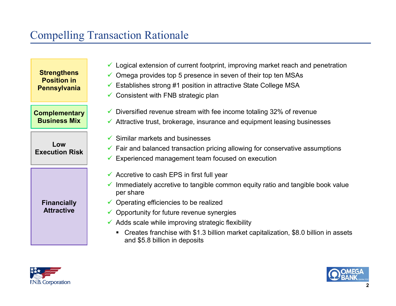## Compelling Transaction Rationale

**Strengthens Position in Pennsylvania** 

**Complementary Business Mix** 

**Low Execution Risk** 

> **Financially Attractive**

- $\checkmark$  Logical extension of current footprint, improving market reach and penetration
- $\checkmark$  Omega provides top 5 presence in seven of their top ten MSAs
- $\checkmark$  Establishes strong #1 position in attractive State College MSA
- $\checkmark$  Consistent with FNB strategic plan
- $\checkmark$  Diversified revenue stream with fee income totaling 32% of revenue
- $\checkmark$  Attractive trust, brokerage, insurance and equipment leasing businesses
- $\checkmark$  Similar markets and businesses
- $\checkmark$  Fair and balanced transaction pricing allowing for conservative assumptions
- $\checkmark$  Experienced management team focused on execution
- $\checkmark$  Accretive to cash EPS in first full year
- $\checkmark$  Immediately accretive to tangible common equity ratio and tangible book value per share
- $\checkmark$  Operating efficiencies to be realized
- $\checkmark$  Opportunity for future revenue synergies
- $\checkmark$  Adds scale while improving strategic flexibility
	- Creates franchise with \$1.3 billion market capitalization, \$8.0 billion in assets and \$5.8 billion in deposits



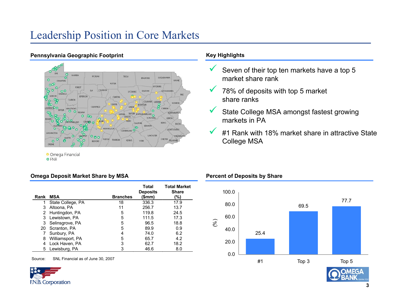### Leadership Position in Core Markets



### **Pennsylvania Geographic Footprint Key Highlights**

**o** FNB

### **Omega Deposit Market Share by MSA**

|      |                   |                 | Total<br><b>Deposits</b> | <b>Total Market</b><br><b>Share</b> |
|------|-------------------|-----------------|--------------------------|-------------------------------------|
| Rank | MSA               | <b>Branches</b> | (\$mm)                   | (%)                                 |
| 1    | State College, PA | 18              | 336.3                    | 17.9                                |
| 3    | Altoona, PA       | 11              | 256.7                    | 13.7                                |
| 2    | Huntingdon, PA    | 5               | 119.8                    | 24.5                                |
| 3    | Lewistown, PA     | 5               | 111.5                    | 17.3                                |
| 3    | Selinsgrove, PA   | 5               | 96.5                     | 18.8                                |
| 20   | Scranton, PA      | 5               | 89.9                     | 0.9                                 |
|      | Sunbury, PA       |                 | 74.0                     | 6.2                                 |
| 8    | Williamsport, PA  | 5               | 65.7                     | 4.2                                 |
| 4    | Lock Haven, PA    | 3               | 62.7                     | 18.2                                |
| 5.   | Lewisburg, PA     |                 | 46.6                     | 8.0                                 |

Source: SNL Financial as of June 30, 2007



- $\checkmark$  Seven of their top ten markets have a top 5 market share rank
- $\checkmark$  78% of deposits with top 5 market share ranks

**Percent of Deposits by Share**

- $\checkmark$  State College MSA amongst fastest growing markets in PA
- $\checkmark$  #1 Rank with 18% market share in attractive State College MSA

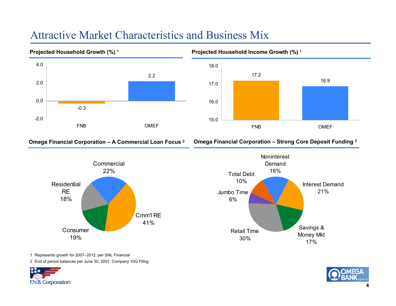### Attractive Market Characteristics and Business Mix



**Omega Financial Corporation – A Commercial Loan Focus 2 Omega Financial Corporation – Strong Core Deposit Funding 2**





1 Represents growth for 2007–2012, per SNL Financial

2 End of period balances per June 30, 2007, Company 10Q Filing



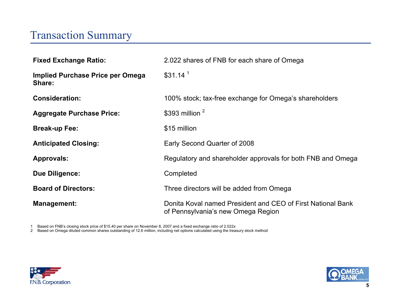### Transaction Summary

| <b>Fixed Exchange Ratio:</b>               | 2.022 shares of FNB for each share of Omega                                                       |
|--------------------------------------------|---------------------------------------------------------------------------------------------------|
| Implied Purchase Price per Omega<br>Share: | \$31.14 <sup>1</sup>                                                                              |
| <b>Consideration:</b>                      | 100% stock; tax-free exchange for Omega's shareholders                                            |
| <b>Aggregate Purchase Price:</b>           | \$393 million $2$                                                                                 |
| <b>Break-up Fee:</b>                       | \$15 million                                                                                      |
| <b>Anticipated Closing:</b>                | Early Second Quarter of 2008                                                                      |
| <b>Approvals:</b>                          | Regulatory and shareholder approvals for both FNB and Omega                                       |
| <b>Due Diligence:</b>                      | Completed                                                                                         |
| <b>Board of Directors:</b>                 | Three directors will be added from Omega                                                          |
| <b>Management:</b>                         | Donita Koval named President and CEO of First National Bank<br>of Pennsylvania's new Omega Region |

1 Based on FNB's closing stock price of \$15.40 per share on November 8, 2007 and a fixed exchange ratio of 2.022x

2 Based on Omega diluted common shares outstanding of 12.6 million, including net options calculated using the treasury stock method



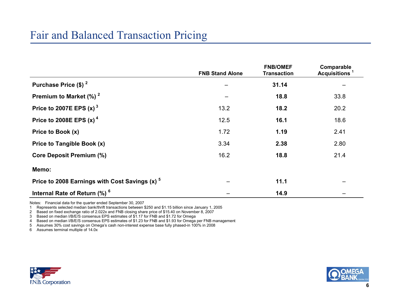|                                                           | <b>FNB Stand Alone</b> | <b>FNB/OMEF</b><br><b>Transaction</b> | Comparable<br>Acquisitions <sup>1</sup> |
|-----------------------------------------------------------|------------------------|---------------------------------------|-----------------------------------------|
| Purchase Price (\$) <sup>2</sup>                          |                        | 31.14                                 |                                         |
| Premium to Market $(\%)$ <sup>2</sup>                     |                        | 18.8                                  | 33.8                                    |
| Price to 2007E EPS $(x)$ <sup>3</sup>                     | 13.2                   | 18.2                                  | 20.2                                    |
| Price to 2008E EPS $(x)$ <sup>4</sup>                     | 12.5                   | 16.1                                  | 18.6                                    |
| Price to Book (x)                                         | 1.72                   | 1.19                                  | 2.41                                    |
| Price to Tangible Book (x)                                | 3.34                   | 2.38                                  | 2.80                                    |
| <b>Core Deposit Premium (%)</b>                           | 16.2                   | 18.8                                  | 21.4                                    |
| Memo:                                                     |                        |                                       |                                         |
| Price to 2008 Earnings with Cost Savings (x) <sup>5</sup> |                        | 11.1                                  |                                         |
| Internal Rate of Return (%) <sup>6</sup>                  |                        | 14.9                                  |                                         |

Notes: Financial data for the quarter ended September 30, 2007

1 Represents selected median bank/thrift transactions between \$250 and \$1.15 billion since January 1, 2005

2 Based on fixed exchange ratio of 2.022x and FNB closing share price of \$15.40 on November 8, 2007

3 Based on median I/B/E/S consensus EPS estimates of \$1.17 for FNB and \$1.72 for Omega

4 Based on median I/B/E/S consensus EPS estimates of \$1.23 for FNB and \$1.93 for Omega per FNB management

5 Assumes 30% cost savings on Omega's cash non-interest expense base fully phased-in 100% in 2008

6 Assumes terminal multiple of 14.0x



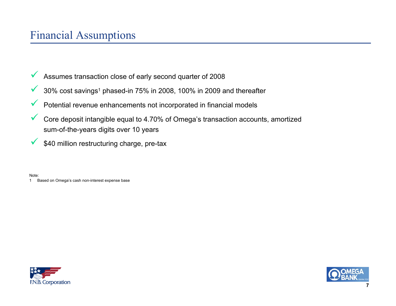- $\checkmark$ Assumes transaction close of early second quarter of 2008
- $\checkmark$ 30% cost savings1 phased-in 75% in 2008, 100% in 2009 and thereafter
- $\checkmark$ Potential revenue enhancements not incorporated in financial models
- $\checkmark$  Core deposit intangible equal to 4.70% of Omega's transaction accounts, amortized sum-of-the-years digits over 10 years
- $\checkmark$ \$40 million restructuring charge, pre-tax

Note:

1 Based on Omega's cash non-interest expense base



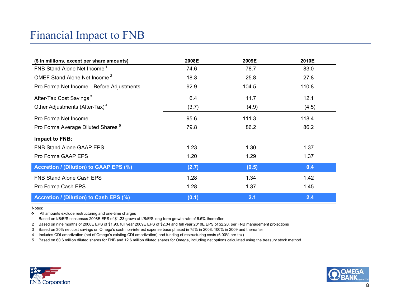## Financial Impact to FNB

| (\$ in millions, except per share amounts)    | 2008E | 2009E | 2010E |
|-----------------------------------------------|-------|-------|-------|
| FNB Stand Alone Net Income <sup>1</sup>       | 74.6  | 78.7  | 83.0  |
| OMEF Stand Alone Net Income <sup>2</sup>      | 18.3  | 25.8  | 27.8  |
| Pro Forma Net Income—Before Adjustments       | 92.9  | 104.5 | 110.8 |
| After-Tax Cost Savings <sup>3</sup>           | 6.4   | 11.7  | 12.1  |
| Other Adjustments (After-Tax) <sup>4</sup>    | (3.7) | (4.9) | (4.5) |
| Pro Forma Net Income                          | 95.6  | 111.3 | 118.4 |
| Pro Forma Average Diluted Shares <sup>5</sup> | 79.8  | 86.2  | 86.2  |
| Impact to FNB:                                |       |       |       |
| <b>FNB Stand Alone GAAP EPS</b>               | 1.23  | 1.30  | 1.37  |
| Pro Forma GAAP EPS                            | 1.20  | 1.29  | 1.37  |
| <b>Accretion / (Dilution) to GAAP EPS (%)</b> | (2.7) | (0.5) | 0.4   |
| <b>FNB Stand Alone Cash EPS</b>               | 1.28  | 1.34  | 1.42  |
| Pro Forma Cash EPS                            | 1.28  | 1.37  | 1.45  |
| Accretion / (Dilution) to Cash EPS (%)        | (0.1) | 2.1   | 2.4   |

Notes:

\* All amounts exclude restructuring and one-time charges

1 Based on I/B/E/S consensus 2008E EPS of \$1.23 grown at I/B/E/S long-term growth rate of 5.5% thereafter

2 Based on nine months of 2008E EPS of \$1.93, full year 2009E EPS of \$2.04 and full year 2010E EPS of \$2.20, per FNB management projections

3 Based on 30% net cost savings on Omega's cash non-interest expense base phased in 75% in 2008, 100% in 2009 and thereafter

4 Includes CDI amortization (net of Omega's existing CDI amortization) and funding of restructuring costs (6.00% pre-tax)

5 Based on 60.6 million diluted shares for FNB and 12.6 million diluted shares for Omega, including net options calculated using the treasury stock method



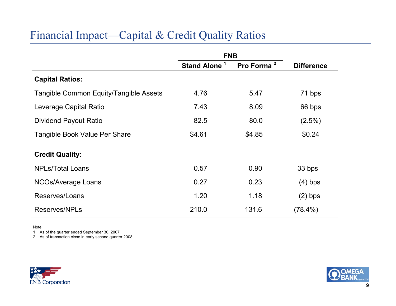## Financial Impact—Capital & Credit Quality Ratios

|                                        | <b>FNB</b>                         |                        |                   |
|----------------------------------------|------------------------------------|------------------------|-------------------|
|                                        | $\mathbf{1}$<br><b>Stand Alone</b> | Pro Forma <sup>2</sup> | <b>Difference</b> |
| <b>Capital Ratios:</b>                 |                                    |                        |                   |
| Tangible Common Equity/Tangible Assets | 4.76                               | 5.47                   | 71 bps            |
| Leverage Capital Ratio                 | 7.43                               | 8.09                   | 66 bps            |
| Dividend Payout Ratio                  | 82.5                               | 80.0                   | $(2.5\%)$         |
| Tangible Book Value Per Share          | \$4.61                             | \$4.85                 | \$0.24            |
| <b>Credit Quality:</b>                 |                                    |                        |                   |
| <b>NPLs/Total Loans</b>                | 0.57                               | 0.90                   | 33 bps            |
| <b>NCOs/Average Loans</b>              | 0.27                               | 0.23                   | $(4)$ bps         |
| Reserves/Loans                         | 1.20                               | 1.18                   | $(2)$ bps         |
| Reserves/NPLs                          | 210.0                              | 131.6                  | $(78.4\%)$        |

Note:

1 As of the quarter ended September 30, 2007

2 As of transaction close in early second quarter 2008